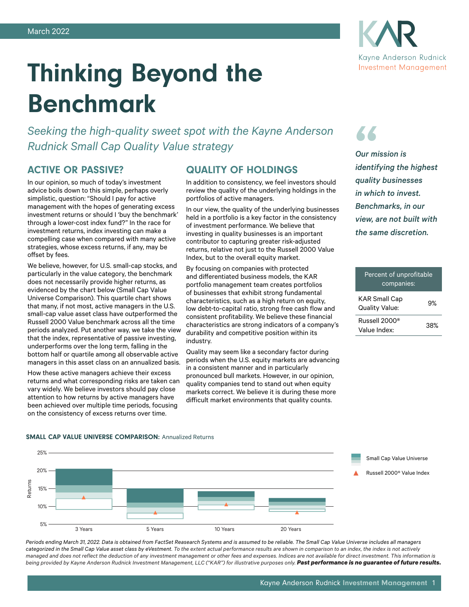

# Thinking Beyond the Benchmark

*Seeking the high-quality sweet spot with the Kayne Anderson Rudnick Small Cap Quality Value strategy*

## ACTIVE OR PASSIVE?

In our opinion, so much of today's investment advice boils down to this simple, perhaps overly simplistic, question: "Should I pay for active management with the hopes of generating excess investment returns or should I 'buy the benchmark' through a lower-cost index fund?" In the race for investment returns, index investing can make a compelling case when compared with many active strategies, whose excess returns, if any, may be offset by fees.

We believe, however, for U.S. small-cap stocks, and particularly in the value category, the benchmark does not necessarily provide higher returns, as evidenced by the chart below (Small Cap Value Universe Comparison). This quartile chart shows that many, if not most, active managers in the U.S. small-cap value asset class have outperformed the Russell 2000 Value benchmark across all the time periods analyzed. Put another way, we take the view that the index, representative of passive investing, underperforms over the long term, falling in the bottom half or quartile among all observable active managers in this asset class on an annualized basis.

How these active managers achieve their excess returns and what corresponding risks are taken can vary widely. We believe investors should pay close attention to how returns by active managers have been achieved over multiple time periods, focusing on the consistency of excess returns over time.

## QUALITY OF HOLDINGS

In addition to consistency, we feel investors should review the quality of the underlying holdings in the portfolios of active managers.

In our view, the quality of the underlying businesses held in a portfolio is a key factor in the consistency of investment performance. We believe that investing in quality businesses is an important contributor to capturing greater risk-adjusted returns, relative not just to the Russell 2000 Value Index, but to the overall equity market.

By focusing on companies with protected and differentiated business models, the KAR portfolio management team creates portfolios of businesses that exhibit strong fundamental characteristics, such as a high return on equity, low debt-to-capital ratio, strong free cash flow and consistent profitability. We believe these financial characteristics are strong indicators of a company's durability and competitive position within its industry.

Quality may seem like a secondary factor during periods when the U.S. equity markets are advancing in a consistent manner and in particularly pronounced bull markets. However, in our opinion, quality companies tend to stand out when equity markets correct. We believe it is during these more difficult market environments that quality counts.

## **" "**

*Our mission is identifying the highest quality businesses in which to invest. Benchmarks, in our view, are not built with the same discretion.*

## Percent of unprofitable companies: KAR Small Cap RAR Sman Cap<br>Quality Value: 9% Russell 2000® Value Index: 38%

#### SMALL CAP VALUE UNIVERSE COMPARISON: Annualized Returns



*Periods ending March 31, 2022. Data is obtained from FactSet Reasearch Systems and is assumed to be reliable. The Small Cap Value Universe includes all managers categorized in the Small Cap Value asset class by eVestment. To the extent actual performance results are shown in comparison to an index, the index is not actively managed and does not reflect the deduction of any investment management or other fees and expenses. Indices are not available for direct investment. This information is*  being provided by Kayne Anderson Rudnick Investment Management, LLC ("KAR") for illustrative purposes only. Past performance is no guarantee of future results.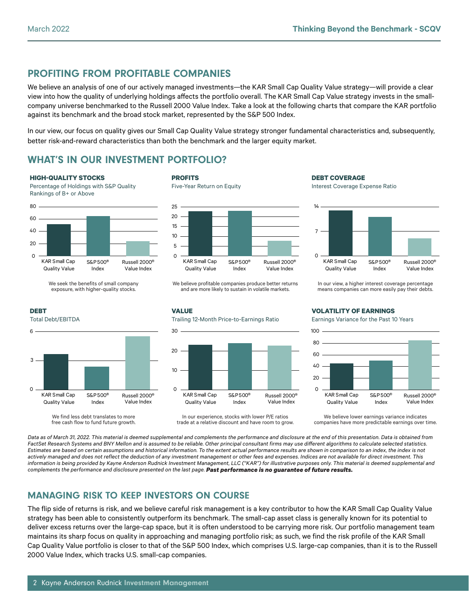## PROFITING FROM PROFITABLE COMPANIES

We believe an analysis of one of our actively managed investments—the KAR Small Cap Quality Value strategy—will provide a clear view into how the quality of underlying holdings affects the portfolio overall. The KAR Small Cap Value strategy invests in the smallcompany universe benchmarked to the Russell 2000 Value Index. Take a look at the following charts that compare the KAR portfolio against its benchmark and the broad stock market, represented by the S&P 500 Index.

In our view, our focus on quality gives our Small Cap Quality Value strategy stronger fundamental characteristics and, subsequently, better risk-and-reward characteristics than both the benchmark and the larger equity market.

## WHAT'S IN OUR INVESTMENT PORTFOLIO?

#### **HIGH-QUALITY STOCKS**

Percentage of Holdings with S&P Quality Rankings of B+ or Above



We seek the benefits of small company exposure, with higher-quality stocks.

#### **DEBT**

Total Debt/EBITDA



We find less debt translates to more free cash flow to fund future growth.

#### **PROFITS**





We believe profitable companies produce better returns and are more likely to sustain in volatile markets.

**DEBT COVERAGE**

Interest Coverage Expense Ratio



In our view, a higher interest coverage percentage means companies can more easily pay their debts.

**VALUE** Trailing 12-Month Price-to-Earnings Ratio



In our experience, stocks with lower P/E ratios trade at a relative discount and have room to grow.

#### **VOLATILITY OF EARNINGS**

Earnings Variance for the Past 10 Years



We believe lower earnings variance indicates companies have more predictable earnings over time.

*Data as of March 31, 2022. This material is deemed supplemental and complements the performance and disclosure at the end of this presentation. Data is obtained from FactSet Research Systems and BNY Mellon and is assumed to be reliable. Other principal consultant firms may use different algorithms to calculate selected statistics. Estimates are based on certain assumptions and historical information. To the extent actual performance results are shown in comparison to an index, the index is not actively managed and does not reflect the deduction of any investment management or other fees and expenses. Indices are not available for direct investment. This information is being provided by Kayne Anderson Rudnick Investment Management, LLC ("KAR") for illustrative purposes only. This material is deemed supplemental and complements the performance and disclosure presented on the last page. Past performance is no guarantee of future results.*

## MANAGING RISK TO KEEP INVESTORS ON COURSE

The flip side of returns is risk, and we believe careful risk management is a key contributor to how the KAR Small Cap Quality Value strategy has been able to consistently outperform its benchmark. The small-cap asset class is generally known for its potential to deliver excess returns over the large-cap space, but it is often understood to be carrying more risk. Our portfolio management team maintains its sharp focus on quality in approaching and managing portfolio risk; as such, we find the risk profile of the KAR Small Cap Quality Value portfolio is closer to that of the S&P 500 Index, which comprises U.S. large-cap companies, than it is to the Russell 2000 Value Index, which tracks U.S. small-cap companies.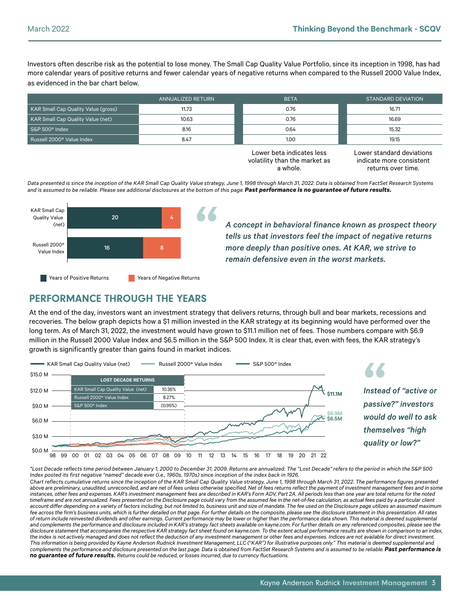Investors often describe risk as the potential to lose money. The Small Cap Quality Value Portfolio, since its inception in 1998, has had more calendar years of positive returns and fewer calendar years of negative returns when compared to the Russell 2000 Value Index, as evidenced in the bar chart below.

|                                       | ANNUALIZED RETURN | <b>BETA</b> | STANDARD DEVIATION |  |
|---------------------------------------|-------------------|-------------|--------------------|--|
| KAR Small Cap Quality Value (gross)   | 11.73             | 0.76        | 16.71              |  |
| KAR Small Cap Quality Value (net)     | 10.63             | 0.76        | 16.69              |  |
| S&P 500 <sup>®</sup> Index            | 8.16              | 0.64        | 15.32              |  |
| Russell 2000 <sup>®</sup> Value Index | 8.47              |             | 19.15              |  |

Lower beta indicates less volatility than the market as a whole.

Lower standard deviations indicate more consistent returns over time.

*Data presented is since the inception of the KAR Small Cap Quality Value strategy, June 1, 1998 through March 31, 2022. Data is obtained from FactSet Research Systems*  and is assumed to be reliable. Please see additional disclosures at the bottom of this page. Past performance is no guarantee of future results.



*A concept in behavioral finance known as prospect theory tells us that investors feel the impact of negative returns more deeply than positive ones. At KAR, we strive to remain defensive even in the worst markets.*

## PERFORMANCE THROUGH THE YEARS

At the end of the day, investors want an investment strategy that delivers returns, through bull and bear markets, recessions and recoveries. The below graph depicts how a \$1 million invested in the KAR strategy at its beginning would have performed over the long term. As of March 31, 2022, the investment would have grown to \$11.1 million net of fees. Those numbers compare with \$6.9 million in the Russell 2000 Value Index and \$6.5 million in the S&P 500 Index. It is clear that, even with fees, the KAR strategy's growth is significantly greater than gains found in market indices.



*\*Lost Decade reflects time period between January 1, 2000 to December 31, 2009. Returns are annualized. The "Lost Decade" refers to the period in which the S&P 500*  Index posted its first negative "named" decade ever (i.e., 1960s, 1970s) since inception of the index back in 1926.

*Chart reflects cumulative returns since the inception of the KAR Small Cap Quality Value strategy, June 1, 1998 through March 31, 2022. The performance figures presented*  above are preliminary, unaudited, unreconciled, and are net of fees unless otherwise specified. Net of fees returns reflect the payment of investment management fees and in some *instances, other fees and expenses. KAR's investment management fees are described in KAR's Form ADV, Part 2A. All periods less than one year are total returns for the noted timeframe and are not annualized. Fees presented on the Disclosure page could vary from the assumed fee in the net-of-fee calculation, as actual fees paid by a particular client*  account differ depending on a variety of factors including, but not limited to, business unit and size of mandate. The fee used on the Disclosure page utilizes an assumed maximum fee across the firm's business units, which is further detailed on that page. For further details on the composite, please see the disclosure statement in this presentation. All rates *of return include reinvested dividends and other earnings. Current performance may be lower or higher than the performance data shown. This material is deemed supplemental and complements the performance and disclosure included in KAR's strategy fact sheets available on kayne.com. For further details on any referenced composites, please see the disclosure statement that accompanies the respective KAR strategy fact sheet found on kayne.com. To the extent actual performance results are shown in comparison to an index, the index is not actively managed and does not reflect the deduction of any investment management or other fees and expenses. Indices are not available for direct investment. This information is being provided by Kayne Anderson Rudnick Investment Management, LLC ("KAR") for illustrative purposes only." This material is deemed supplemental and complements the performance and disclosure presented on the last page. Data is obtained from FactSet Research Systems and is assumed to be reliable. Past performance is no guarantee of future results. Returns could be reduced, or losses incurred, due to currency fluctuations.*